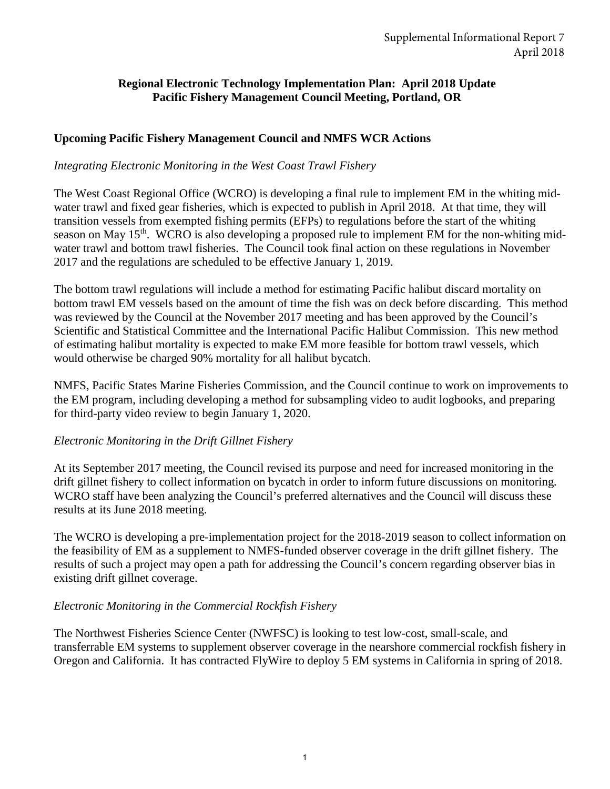## **Regional Electronic Technology Implementation Plan: April 2018 Update Pacific Fishery Management Council Meeting, Portland, OR**

## **Upcoming Pacific Fishery Management Council and NMFS WCR Actions**

### *Integrating Electronic Monitoring in the West Coast Trawl Fishery*

The West Coast Regional Office (WCRO) is developing a final rule to implement EM in the whiting midwater trawl and fixed gear fisheries, which is expected to publish in April 2018. At that time, they will transition vessels from exempted fishing permits (EFPs) to regulations before the start of the whiting season on May 15<sup>th</sup>. WCRO is also developing a proposed rule to implement EM for the non-whiting midwater trawl and bottom trawl fisheries. The Council took final action on these regulations in November 2017 and the regulations are scheduled to be effective January 1, 2019.

The bottom trawl regulations will include a method for estimating Pacific halibut discard mortality on bottom trawl EM vessels based on the amount of time the fish was on deck before discarding. This method was reviewed by the Council at the November 2017 meeting and has been approved by the Council's Scientific and Statistical Committee and the International Pacific Halibut Commission. This new method of estimating halibut mortality is expected to make EM more feasible for bottom trawl vessels, which would otherwise be charged 90% mortality for all halibut bycatch.

NMFS, Pacific States Marine Fisheries Commission, and the Council continue to work on improvements to the EM program, including developing a method for subsampling video to audit logbooks, and preparing for third-party video review to begin January 1, 2020.

### *Electronic Monitoring in the Drift Gillnet Fishery*

At its September 2017 meeting, the Council revised its purpose and need for increased monitoring in the drift gillnet fishery to collect information on bycatch in order to inform future discussions on monitoring. WCRO staff have been analyzing the Council's preferred alternatives and the Council will discuss these results at its June 2018 meeting.

The WCRO is developing a pre-implementation project for the 2018-2019 season to collect information on the feasibility of EM as a supplement to NMFS-funded observer coverage in the drift gillnet fishery. The results of such a project may open a path for addressing the Council's concern regarding observer bias in existing drift gillnet coverage.

# *Electronic Monitoring in the Commercial Rockfish Fishery*

The Northwest Fisheries Science Center (NWFSC) is looking to test low-cost, small-scale, and transferrable EM systems to supplement observer coverage in the nearshore commercial rockfish fishery in Oregon and California. It has contracted FlyWire to deploy 5 EM systems in California in spring of 2018.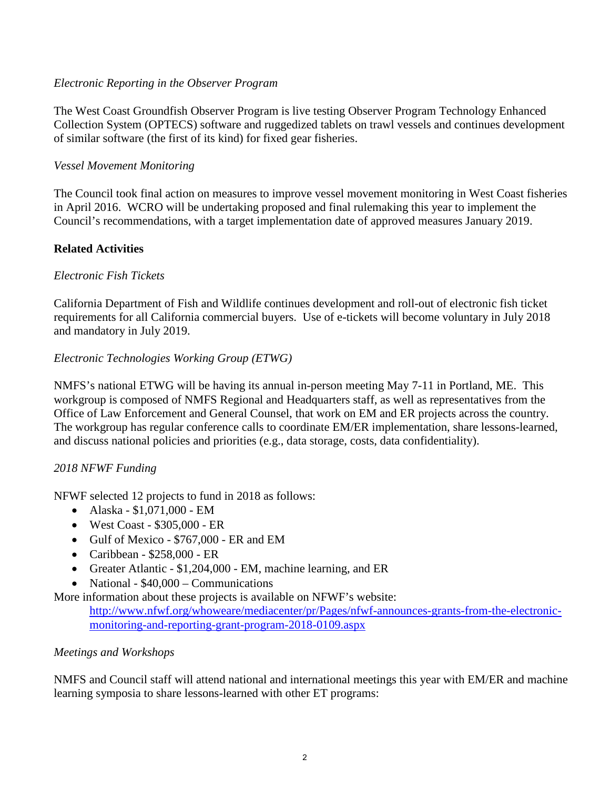### *Electronic Reporting in the Observer Program*

The West Coast Groundfish Observer Program is live testing Observer Program Technology Enhanced Collection System (OPTECS) software and ruggedized tablets on trawl vessels and continues development of similar software (the first of its kind) for fixed gear fisheries.

### *Vessel Movement Monitoring*

The Council took final action on measures to improve vessel movement monitoring in West Coast fisheries in April 2016. WCRO will be undertaking proposed and final rulemaking this year to implement the Council's recommendations, with a target implementation date of approved measures January 2019.

# **Related Activities**

## *Electronic Fish Tickets*

California Department of Fish and Wildlife continues development and roll-out of electronic fish ticket requirements for all California commercial buyers. Use of e-tickets will become voluntary in July 2018 and mandatory in July 2019.

## *Electronic Technologies Working Group (ETWG)*

NMFS's national ETWG will be having its annual in-person meeting May 7-11 in Portland, ME. This workgroup is composed of NMFS Regional and Headquarters staff, as well as representatives from the Office of Law Enforcement and General Counsel, that work on EM and ER projects across the country. The workgroup has regular conference calls to coordinate EM/ER implementation, share lessons-learned, and discuss national policies and priorities (e.g., data storage, costs, data confidentiality).

### *2018 NFWF Funding*

NFWF selected 12 projects to fund in 2018 as follows:

- Alaska \$1,071,000 EM
- West Coast \$305,000 ER
- Gulf of Mexico \$767,000 ER and EM
- Caribbean \$258,000 ER
- Greater Atlantic \$1,204,000 EM, machine learning, and ER
- National \$40,000 Communications
- More information about these projects is available on NFWF's website:

[http://www.nfwf.org/whoweare/mediacenter/pr/Pages/nfwf-announces-grants-from-the-electronic](http://www.nfwf.org/whoweare/mediacenter/pr/Pages/nfwf-announces-grants-from-the-electronic-monitoring-and-reporting-grant-program-2018-0109.aspx)[monitoring-and-reporting-grant-program-2018-0109.aspx](http://www.nfwf.org/whoweare/mediacenter/pr/Pages/nfwf-announces-grants-from-the-electronic-monitoring-and-reporting-grant-program-2018-0109.aspx)

### *Meetings and Workshops*

NMFS and Council staff will attend national and international meetings this year with EM/ER and machine learning symposia to share lessons-learned with other ET programs: